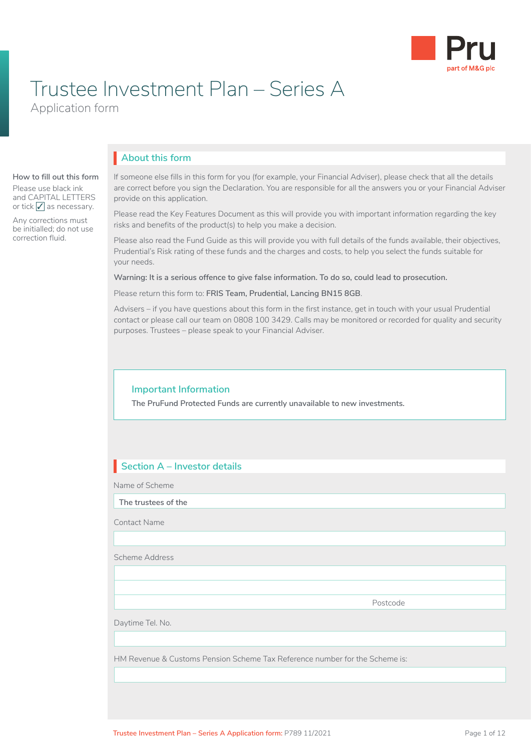

# Trustee Investment Plan – Series A

Application form

# **About this form** I

#### **How to fill out this form**

Please use black ink and CAPITAL LETTERS or tick  $\sqrt{\ }$  as necessary.

Any corrections must be initialled; do not use correction fluid.

If someone else fills in this form for you (for example, your Financial Adviser), please check that all the details are correct before you sign the Declaration. You are responsible for all the answers you or your Financial Adviser provide on this application.

Please read the Key Features Document as this will provide you with important information regarding the key risks and benefits of the product(s) to help you make a decision.

Please also read the Fund Guide as this will provide you with full details of the funds available, their objectives, Prudential's Risk rating of these funds and the charges and costs, to help you select the funds suitable for your needs.

**Warning: It is a serious offence to give false information. To do so, could lead to prosecution.**

Please return this form to: **FRIS Team, Prudential, Lancing BN15 8GB**.

Advisers – if you have questions about this form in the first instance, get in touch with your usual Prudential contact or please call our team on 0808 100 3429. Calls may be monitored or recorded for quality and security purposes. Trustees – please speak to your Financial Adviser.

#### **Important Information**

**The PruFund Protected Funds are currently unavailable to new investments.**

# **Section A – Investor details** I

Name of Scheme

**The trustees of the**

Contact Name

Scheme Address

Postcode

Daytime Tel. No.

HM Revenue & Customs Pension Scheme Tax Reference number for the Scheme is: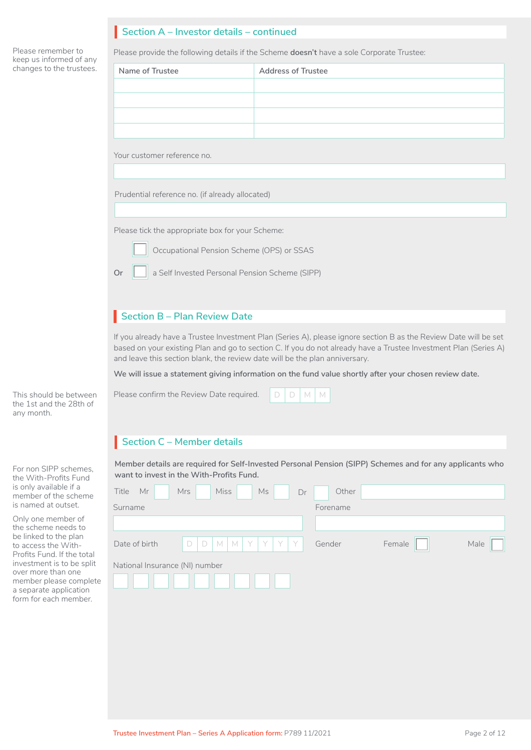# **Section A – Investor details – continued** I

Please remember to keep us informed of any changes to the trustees.

Please provide the following details if the Scheme **doesn't** have a sole Corporate Trustee:

| Name of Trustee                                      | <b>Address of Trustee</b> |  |
|------------------------------------------------------|---------------------------|--|
|                                                      |                           |  |
|                                                      |                           |  |
|                                                      |                           |  |
|                                                      |                           |  |
|                                                      |                           |  |
| Your customer reference no.                          |                           |  |
|                                                      |                           |  |
| Prudential reference no. (if already allocated)      |                           |  |
|                                                      |                           |  |
| Please tick the appropriate box for your Scheme:     |                           |  |
| Occupational Pension Scheme (OPS) or SSAS            |                           |  |
| a Self Invested Personal Pension Scheme (SIPP)<br>Or |                           |  |
|                                                      |                           |  |
|                                                      |                           |  |

# **Section B – Plan Review Date** I

If you already have a Trustee Investment Plan (Series A), please ignore section B as the Review Date will be set based on your existing Plan and go to section C. If you do not already have a Trustee Investment Plan (Series A) and leave this section blank, the review date will be the plan anniversary.

**We will issue a statement giving information on the fund value shortly after your chosen review date.**

This should be between Please confirm the Review Date required. D D M M D D M M

# **Section C – Member details** I

**Member details are required for Self-Invested Personal Pension (SIPP) Schemes and for any applicants who want to invest in the With-Profits Fund.** 

| <b>Miss</b><br>Mr<br>Ms<br><b>Mrs</b><br>Title<br>Dr      | Other    |        |      |
|-----------------------------------------------------------|----------|--------|------|
| Surname                                                   | Forename |        |      |
|                                                           |          |        |      |
| YYY<br>Date of birth<br>$\Box$<br> M <br>Y<br>$\Box$<br>M | Gender   | Female | Male |
| National Insurance (NI) number                            |          |        |      |

the 1st and the 28th of any month.

For non SIPP schemes, the With-Profits Fund is only available if a member of the scheme is named at outset.

Only one member of the scheme needs to be linked to the plan to access the With-Profits Fund. If the total investment is to be split over more than one member please complete a separate application form for each member.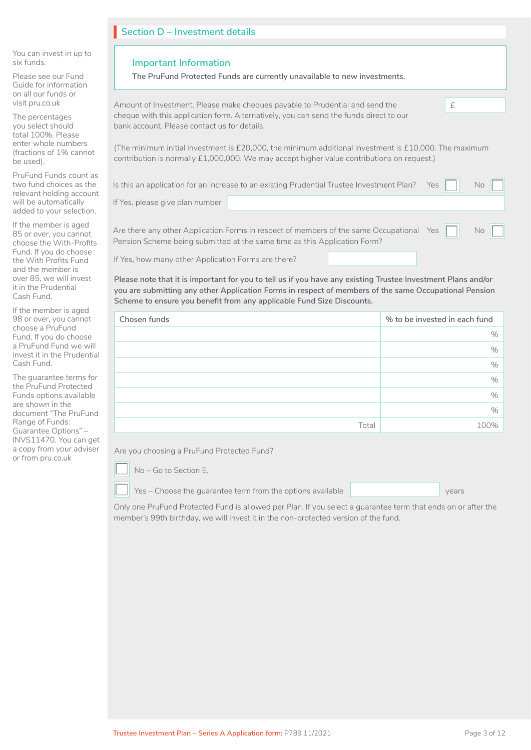| Section D - Investment details                                                                                                                                                                                                     |  |  |  |
|------------------------------------------------------------------------------------------------------------------------------------------------------------------------------------------------------------------------------------|--|--|--|
| <b>Important Information</b>                                                                                                                                                                                                       |  |  |  |
| The PruFund Protected Funds are currently unavailable to new investments.                                                                                                                                                          |  |  |  |
| Amount of Investment. Please make cheques payable to Prudential and send the<br>£                                                                                                                                                  |  |  |  |
| cheque with this application form. Alternatively, you can send the funds direct to our<br>bank account. Please contact us for details.                                                                                             |  |  |  |
| (The minimum initial investment is £20,000, the minimum additional investment is £10,000. The maximum<br>contribution is normally £1,000,000. We may accept higher value contributions on request.)                                |  |  |  |
| Is this an application for an increase to an existing Prudential Trustee Investment Plan?<br>No<br>Yes                                                                                                                             |  |  |  |
| If Yes, please give plan number                                                                                                                                                                                                    |  |  |  |
| Are there any other Application Forms in respect of members of the same Occupational Yes<br>No<br>Pension Scheme being submitted at the same time as this Application Form?<br>If Yes, how many other Application Forms are there? |  |  |  |
|                                                                                                                                                                                                                                    |  |  |  |

**Please note that it is important for you to tell us if you have any existing Trustee Investment Plans and/or you are submitting any other Application Forms in respect of members of the same Occupational Pension Scheme to ensure you benefit from any applicable Fund Size Discounts.**

| Chosen funds | % to be invested in each fund |
|--------------|-------------------------------|
|              | $\%$                          |
|              | $\%$                          |
|              | $\%$                          |
|              | $\%$                          |
|              | $\%$                          |
|              | $\frac{0}{0}$                 |
| Total        | 100%                          |

Are you choosing a PruFund Protected Fund?



and the member is over 85, we will invest it in the Prudential Cash Fund.

If the member is aged 98 or over, you cannot choose a PruFund Fund. If you do choose a PruFund Fund we will invest it in the Prudential

The guarantee terms for the PruFund Protected Funds options available are shown in the document "The PruFund Range of Funds: Guarantee Options" – INVS11470. You can get a copy from your adviser or from pru.co.uk

Cash Fund.

■ Yes – Choose the guarantee term from the options available ■ Next Street Wears

Only one PruFund Protected Fund is allowed per Plan. If you select a guarantee term that ends on or after the member's 99th birthday, we will invest it in the non-protected version of the fund.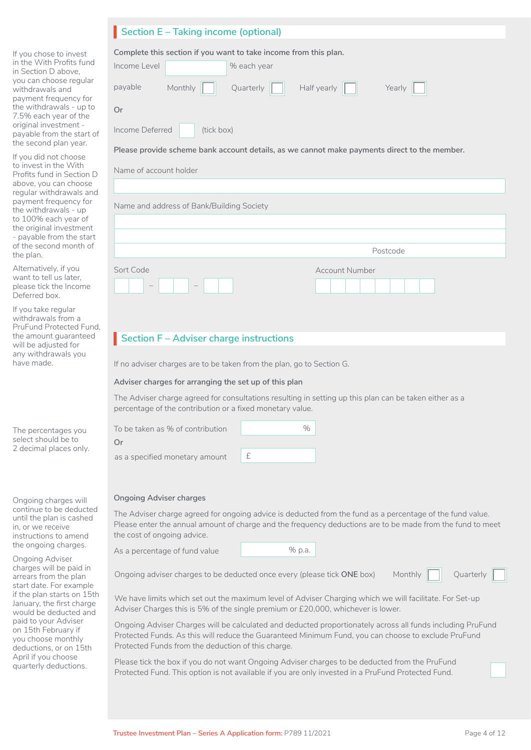|                                                                                                                                                                                                                                                                                                                                      | <b>Section E - Taking income (optional)</b>                                                                                                                                                                                                                                                               |
|--------------------------------------------------------------------------------------------------------------------------------------------------------------------------------------------------------------------------------------------------------------------------------------------------------------------------------------|-----------------------------------------------------------------------------------------------------------------------------------------------------------------------------------------------------------------------------------------------------------------------------------------------------------|
| If you chose to invest<br>in the With Profits fund<br>in Section D above.<br>you can choose regular<br>withdrawals and<br>payment frequency for<br>the withdrawals - up to<br>7.5% each year of the<br>original investment -<br>payable from the start of<br>the second plan year.<br>If you did not choose<br>to invest in the With | Complete this section if you want to take income from this plan.<br>Income Level<br>% each year<br>Half yearly<br>payable<br>Monthly<br>Quarterly<br>Yearly<br><b>Or</b><br>Income Deferred<br>(tick box)<br>Please provide scheme bank account details, as we cannot make payments direct to the member. |
| Profits fund in Section D                                                                                                                                                                                                                                                                                                            | Name of account holder                                                                                                                                                                                                                                                                                    |
| above, you can choose<br>regular withdrawals and                                                                                                                                                                                                                                                                                     |                                                                                                                                                                                                                                                                                                           |
| payment frequency for<br>the withdrawals - up                                                                                                                                                                                                                                                                                        | Name and address of Bank/Building Society                                                                                                                                                                                                                                                                 |
| to 100% each year of<br>the original investment                                                                                                                                                                                                                                                                                      |                                                                                                                                                                                                                                                                                                           |
| - payable from the start<br>of the second month of                                                                                                                                                                                                                                                                                   |                                                                                                                                                                                                                                                                                                           |
|                                                                                                                                                                                                                                                                                                                                      | Postcode                                                                                                                                                                                                                                                                                                  |

Account Number

I I I I I

| Alternatively, if you  |
|------------------------|
| want to tell us later, |
| please tick the Income |
| Deferred box.          |

the plan.

If you take regular withdrawals from a PruFund Protected Fund, the amount guaranteed will be adjusted for any withdrawals you have made.

The percentages you select should be to 2 decimal places only.

Ongoing charges will continue to be deducted until the plan is cashed in, or we receive instructions to amend the ongoing charges.

Ongoing Adviser charges will be paid in arrears from the plan start date. For example if the plan starts on 15th January, the first charge would be deducted and paid to your Adviser on 15th February if you choose monthly deductions, or on 15th April if you choose quarterly deductions.

### If no adviser charges are to be taken from the plan, go to Section G.

### **Adviser charges for arranging the set up of this plan**

**Section F – Adviser charge instructions**

The Adviser charge agreed for consultations resulting in setting up this plan can be taken either as a percentage of the contribution or a fixed monetary value.

| To be taken as % of contribution |  |
|----------------------------------|--|
| `)r                              |  |
| as a specified monetary amount   |  |

#### **Ongoing Adviser charges**

Sort Code

– –

The Adviser charge agreed for ongoing advice is deducted from the fund as a percentage of the fund value. Please enter the annual amount of charge and the frequency deductions are to be made from the fund to meet the cost of ongoing advice.

As a percentage of fund value

|--|

Ongoing adviser charges to be deducted once every (please tick **ONE** box) Monthly

Ouarterly

We have limits which set out the maximum level of Adviser Charging which we will facilitate. For Set-up Adviser Charges this is 5% of the single premium or £20,000, whichever is lower.

Ongoing Adviser Charges will be calculated and deducted proportionately across all funds including PruFund Protected Funds. As this will reduce the Guaranteed Minimum Fund, you can choose to exclude PruFund Protected Funds from the deduction of this charge.

Please tick the box if you do not want Ongoing Adviser charges to be deducted from the PruFund Protected Fund. This option is not available if you are only invested in a PruFund Protected Fund.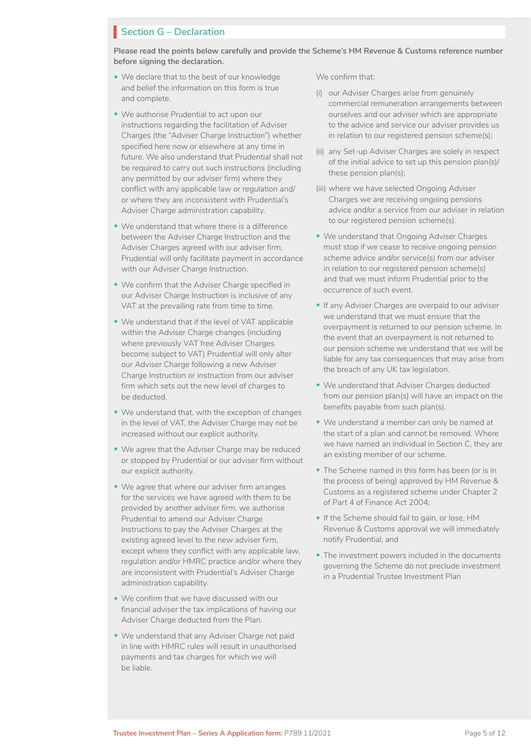#### **Section G – Declaration**

**Please read the points below carefully and provide the Scheme's HM Revenue & Customs reference number before signing the declaration.**

- We declare that to the best of our knowledge and belief the information on this form is true and complete.
- We authorise Prudential to act upon our instructions regarding the facilitation of Adviser Charges (the "Adviser Charge Instruction") whether specified here now or elsewhere at any time in future. We also understand that Prudential shall not be required to carry out such instructions (including any permitted by our adviser firm) where they conflict with any applicable law or regulation and/ or where they are inconsistent with Prudential's Adviser Charge administration capability.
- We understand that where there is a difference between the Adviser Charge Instruction and the Adviser Charges agreed with our adviser firm, Prudential will only facilitate payment in accordance with our Adviser Charge Instruction.
- We confirm that the Adviser Charge specified in our Adviser Charge Instruction is inclusive of any VAT at the prevailing rate from time to time.
- We understand that if the level of VAT applicable within the Adviser Charge changes (including where previously VAT free Adviser Charges become subject to VAT) Prudential will only alter our Adviser Charge following a new Adviser Charge Instruction or instruction from our adviser firm which sets out the new level of charges to be deducted.
- We understand that, with the exception of changes in the level of VAT, the Adviser Charge may not be increased without our explicit authority.
- We agree that the Adviser Charge may be reduced or stopped by Prudential or our adviser firm without our explicit authority.
- We agree that where our adviser firm arranges for the services we have agreed with them to be provided by another adviser firm, we authorise Prudential to amend our Adviser Charge Instructions to pay the Adviser Charges at the existing agreed level to the new adviser firm, except where they conflict with any applicable law, regulation and/or HMRC practice and/or where they are inconsistent with Prudential's Adviser Charge administration capability.
- We confirm that we have discussed with our financial adviser the tax implications of having our Adviser Charge deducted from the Plan.
- We understand that any Adviser Charge not paid in line with HMRC rules will result in unauthorised payments and tax charges for which we will be liable.

We confirm that:

- (i) our Adviser Charges arise from genuinely commercial remuneration arrangements between ourselves and our adviser which are appropriate to the advice and service our adviser provides us in relation to our registered pension scheme(s);
- (ii) any Set-up Adviser Charges are solely in respect of the initial advice to set up this pension plan(s)/ these pension plan(s);
- (iii) where we have selected Ongoing Adviser Charges we are receiving ongoing pensions advice and/or a service from our adviser in relation to our registered pension scheme(s).
- We understand that Ongoing Adviser Charges must stop if we cease to receive ongoing pension scheme advice and/or service(s) from our adviser in relation to our registered pension scheme(s) and that we must inform Prudential prior to the occurrence of such event.
- If any Adviser Charges are overpaid to our adviser we understand that we must ensure that the overpayment is returned to our pension scheme. In the event that an overpayment is not returned to our pension scheme we understand that we will be liable for any tax consequences that may arise from the breach of any UK tax legislation.
- We understand that Adviser Charges deducted from our pension plan(s) will have an impact on the benefits payable from such plan(s).
- We understand a member can only be named at the start of a plan and cannot be removed. Where we have named an individual in Section C, they are an existing member of our scheme.
- The Scheme named in this form has been (or is in the process of being) approved by HM Revenue & Customs as a registered scheme under Chapter 2 of Part 4 of Finance Act 2004;
- If the Scheme should fail to gain, or lose, HM Revenue & Customs approval we will immediately notify Prudential; and
- The investment powers included in the documents governing the Scheme do not preclude investment in a Prudential Trustee Investment Plan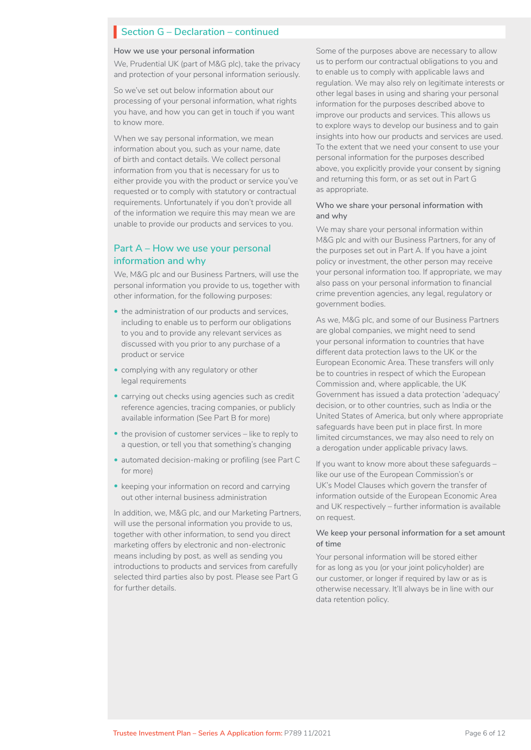# **Section G – Declaration – continued** I

#### **How we use your personal information**

We, Prudential UK (part of M&G plc), take the privacy and protection of your personal information seriously.

So we've set out below information about our processing of your personal information, what rights you have, and how you can get in touch if you want to know more.

When we say personal information, we mean information about you, such as your name, date of birth and contact details. We collect personal information from you that is necessary for us to either provide you with the product or service you've requested or to comply with statutory or contractual requirements. Unfortunately if you don't provide all of the information we require this may mean we are unable to provide our products and services to you.

#### **Part A – How we use your personal information and why**

We, M&G plc and our Business Partners, will use the personal information you provide to us, together with other information, for the following purposes:

- the administration of our products and services, including to enable us to perform our obligations to you and to provide any relevant services as discussed with you prior to any purchase of a product or service
- complying with any regulatory or other legal requirements
- carrying out checks using agencies such as credit reference agencies, tracing companies, or publicly available information (See Part B for more)
- the provision of customer services like to reply to a question, or tell you that something's changing
- automated decision-making or profiling (see Part C for more)
- keeping your information on record and carrying out other internal business administration

In addition, we, M&G plc, and our Marketing Partners, will use the personal information you provide to us, together with other information, to send you direct marketing offers by electronic and non-electronic means including by post, as well as sending you introductions to products and services from carefully selected third parties also by post. Please see Part G for further details.

Some of the purposes above are necessary to allow us to perform our contractual obligations to you and to enable us to comply with applicable laws and regulation. We may also rely on legitimate interests or other legal bases in using and sharing your personal information for the purposes described above to improve our products and services. This allows us to explore ways to develop our business and to gain insights into how our products and services are used. To the extent that we need your consent to use your personal information for the purposes described above, you explicitly provide your consent by signing and returning this form, or as set out in Part G as appropriate.

#### **Who we share your personal information with and why**

We may share your personal information within M&G plc and with our Business Partners, for any of the purposes set out in Part A. If you have a joint policy or investment, the other person may receive your personal information too. If appropriate, we may also pass on your personal information to financial crime prevention agencies, any legal, regulatory or government bodies.

As we, M&G plc, and some of our Business Partners are global companies, we might need to send your personal information to countries that have different data protection laws to the UK or the European Economic Area. These transfers will only be to countries in respect of which the European Commission and, where applicable, the UK Government has issued a data protection 'adequacy' decision, or to other countries, such as India or the United States of America, but only where appropriate safeguards have been put in place first. In more limited circumstances, we may also need to rely on a derogation under applicable privacy laws.

If you want to know more about these safeguards – like our use of the European Commission's or UK's Model Clauses which govern the transfer of information outside of the European Economic Area and UK respectively – further information is available on request.

#### **We keep your personal information for a set amount of time**

Your personal information will be stored either for as long as you (or your joint policyholder) are our customer, or longer if required by law or as is otherwise necessary. It'll always be in line with our data retention policy.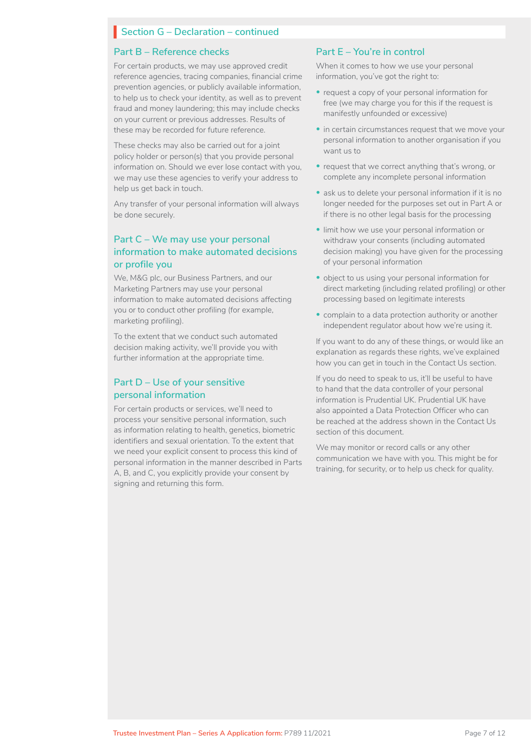# **Section G – Declaration – continued** I

#### **Part B – Reference checks**

For certain products, we may use approved credit reference agencies, tracing companies, financial crime prevention agencies, or publicly available information, to help us to check your identity, as well as to prevent fraud and money laundering; this may include checks on your current or previous addresses. Results of these may be recorded for future reference.

These checks may also be carried out for a joint policy holder or person(s) that you provide personal information on. Should we ever lose contact with you, we may use these agencies to verify your address to help us get back in touch.

Any transfer of your personal information will always be done securely.

#### **Part C – We may use your personal information to make automated decisions or profile you**

We, M&G plc, our Business Partners, and our Marketing Partners may use your personal information to make automated decisions affecting you or to conduct other profiling (for example, marketing profiling).

To the extent that we conduct such automated decision making activity, we'll provide you with further information at the appropriate time.

#### **Part D – Use of your sensitive personal information**

For certain products or services, we'll need to process your sensitive personal information, such as information relating to health, genetics, biometric identifiers and sexual orientation. To the extent that we need your explicit consent to process this kind of personal information in the manner described in Parts A, B, and C, you explicitly provide your consent by signing and returning this form.

#### **Part E – You're in control**

When it comes to how we use your personal information, you've got the right to:

- request a copy of your personal information for free (we may charge you for this if the request is manifestly unfounded or excessive)
- in certain circumstances request that we move your personal information to another organisation if you want us to
- request that we correct anything that's wrong, or complete any incomplete personal information
- ask us to delete your personal information if it is no longer needed for the purposes set out in Part A or if there is no other legal basis for the processing
- limit how we use your personal information or withdraw your consents (including automated decision making) you have given for the processing of your personal information
- object to us using your personal information for direct marketing (including related profiling) or other processing based on legitimate interests
- complain to a data protection authority or another independent regulator about how we're using it.

If you want to do any of these things, or would like an explanation as regards these rights, we've explained how you can get in touch in the Contact Us section.

If you do need to speak to us, it'll be useful to have to hand that the data controller of your personal information is Prudential UK. Prudential UK have also appointed a Data Protection Officer who can be reached at the address shown in the Contact Us section of this document.

We may monitor or record calls or any other communication we have with you. This might be for training, for security, or to help us check for quality.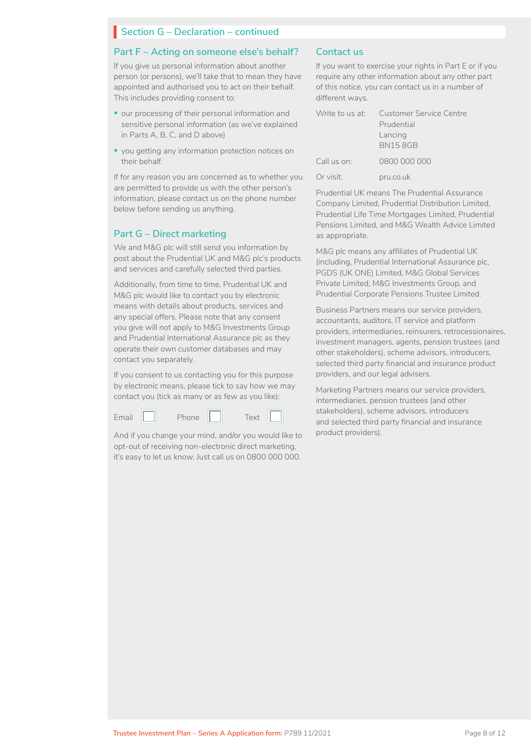#### **Section G – Declaration – continued**

#### **Part F – Acting on someone else's behalf?**

If you give us personal information about another person (or persons), we'll take that to mean they have appointed and authorised you to act on their behalf. This includes providing consent to:

- our processing of their personal information and sensitive personal information (as we've explained in Parts A, B, C, and D above)
- you getting any information protection notices on their behalf.

If for any reason you are concerned as to whether you are permitted to provide us with the other person's information, please contact us on the phone number below before sending us anything.

#### **Part G – Direct marketing**

We and M&G plc will still send you information by post about the Prudential UK and M&G plc's products and services and carefully selected third parties.

Additionally, from time to time, Prudential UK and M&G plc would like to contact you by electronic means with details about products, services and any special offers. Please note that any consent you give will not apply to M&G Investments Group and Prudential International Assurance plc as they operate their own customer databases and may contact you separately.

If you consent to us contacting you for this purpose by electronic means, please tick to say how we may contact you (tick as many or as few as you like):



And if you change your mind, and/or you would like to opt-out of receiving non-electronic direct marketing, it's easy to let us know. Just call us on 0800 000 000.

#### **Contact us**

If you want to exercise your rights in Part E or if you require any other information about any other part of this notice, you can contact us in a number of different ways.

|             | Write to us at: Customer Service Centre |
|-------------|-----------------------------------------|
|             | Prudential                              |
|             | Lancing                                 |
|             | <b>BN158GB</b>                          |
| Call us on: | 0800 000 000                            |
| Or visit:   | pru.co.uk                               |

Prudential UK means The Prudential Assurance Company Limited, Prudential Distribution Limited, Prudential Life Time Mortgages Limited, Prudential Pensions Limited, and M&G Wealth Advice Limited as appropriate.

M&G plc means any affiliates of Prudential UK (including, Prudential International Assurance plc, PGDS (UK ONE) Limited, M&G Global Services Private Limited, M&G Investments Group, and Prudential Corporate Pensions Trustee Limited.

Business Partners means our service providers, accountants, auditors, IT service and platform providers, intermediaries, reinsurers, retrocessionaires, investment managers, agents, pension trustees (and other stakeholders), scheme advisors, introducers, selected third party financial and insurance product providers, and our legal advisers.

Marketing Partners means our service providers, intermediaries, pension trustees (and other stakeholders), scheme advisors, introducers and selected third party financial and insurance product providers).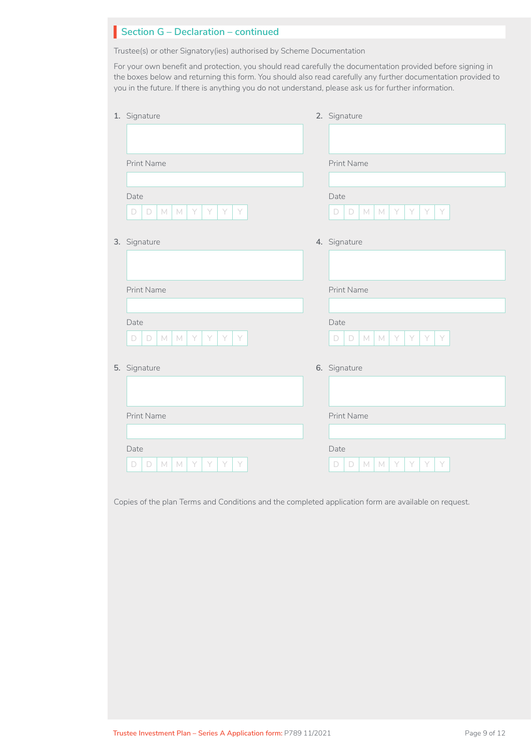| Section G - Declaration - continued                                                                                                                                                                                                                                                                                                   |                                      |
|---------------------------------------------------------------------------------------------------------------------------------------------------------------------------------------------------------------------------------------------------------------------------------------------------------------------------------------|--------------------------------------|
| Trustee(s) or other Signatory(ies) authorised by Scheme Documentation                                                                                                                                                                                                                                                                 |                                      |
| For your own benefit and protection, you should read carefully the documentation provided before signing in<br>the boxes below and returning this form. You should also read carefully any further documentation provided to<br>you in the future. If there is anything you do not understand, please ask us for further information. |                                      |
| 1. Signature                                                                                                                                                                                                                                                                                                                          | 2. Signature                         |
|                                                                                                                                                                                                                                                                                                                                       |                                      |
| Print Name                                                                                                                                                                                                                                                                                                                            | Print Name                           |
|                                                                                                                                                                                                                                                                                                                                       |                                      |
| Date                                                                                                                                                                                                                                                                                                                                  | Date                                 |
| M<br>Y<br>D<br>M<br>Y<br>Y<br>D<br>Y                                                                                                                                                                                                                                                                                                  | Y<br>Y<br>D<br>M<br>M<br>Y<br>Y<br>D |
| 3. Signature                                                                                                                                                                                                                                                                                                                          | 4. Signature                         |
|                                                                                                                                                                                                                                                                                                                                       |                                      |
| <b>Print Name</b>                                                                                                                                                                                                                                                                                                                     | <b>Print Name</b>                    |
|                                                                                                                                                                                                                                                                                                                                       |                                      |
| Date                                                                                                                                                                                                                                                                                                                                  | Date                                 |
| D<br>M<br>Y<br>D<br>M<br>Y<br>Y                                                                                                                                                                                                                                                                                                       | M<br>D<br>D<br>M<br>Y<br>Y<br>Y<br>Y |
| 5. Signature                                                                                                                                                                                                                                                                                                                          | 6. Signature                         |
|                                                                                                                                                                                                                                                                                                                                       |                                      |
| Print Name                                                                                                                                                                                                                                                                                                                            | Print Name                           |
|                                                                                                                                                                                                                                                                                                                                       |                                      |
| Date                                                                                                                                                                                                                                                                                                                                  | Date                                 |
| D<br>M<br>M<br>D                                                                                                                                                                                                                                                                                                                      | D<br>M<br>M<br>D                     |

Copies of the plan Terms and Conditions and the completed application form are available on request.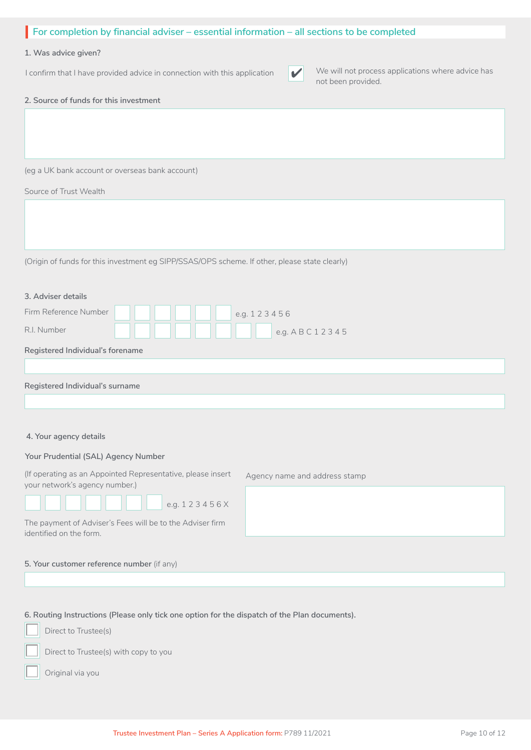| For completion by financial adviser – essential information – all sections to be completed                                                                                   |
|------------------------------------------------------------------------------------------------------------------------------------------------------------------------------|
| 1. Was advice given?                                                                                                                                                         |
| We will not process applications where advice has<br>I confirm that I have provided advice in connection with this application<br>$\blacktriangledown$<br>not been provided. |
| 2. Source of funds for this investment                                                                                                                                       |
|                                                                                                                                                                              |
|                                                                                                                                                                              |
| (eg a UK bank account or overseas bank account)                                                                                                                              |
| Source of Trust Wealth                                                                                                                                                       |
|                                                                                                                                                                              |
|                                                                                                                                                                              |
|                                                                                                                                                                              |
| (Origin of funds for this investment eg SIPP/SSAS/OPS scheme. If other, please state clearly)                                                                                |
|                                                                                                                                                                              |
| 3. Adviser details                                                                                                                                                           |
| Firm Reference Number<br>e.g. 123456                                                                                                                                         |
| R.I. Number<br>e.g. A B C 1 2 3 4 5                                                                                                                                          |
| Registered Individual's forename                                                                                                                                             |
|                                                                                                                                                                              |
| Registered Individual's surname                                                                                                                                              |
|                                                                                                                                                                              |
| 4. Your agency details                                                                                                                                                       |
|                                                                                                                                                                              |
| Your Prudential (SAL) Agency Number<br>(If operating as an Appointed Representative, please insert                                                                           |
| Agency name and address stamp<br>your network's agency number.)                                                                                                              |
| e.g. 123456X                                                                                                                                                                 |
| The payment of Adviser's Fees will be to the Adviser firm                                                                                                                    |
| identified on the form.                                                                                                                                                      |
| 5. Your customer reference number (if any)                                                                                                                                   |
|                                                                                                                                                                              |
|                                                                                                                                                                              |

**6. Routing Instructions (Please only tick one option for the dispatch of the Plan documents).**<br>
Direct to Trustee(s)



 $\Box$ 

Direct to Trustee(s) with copy to you

Original via you  $\Box$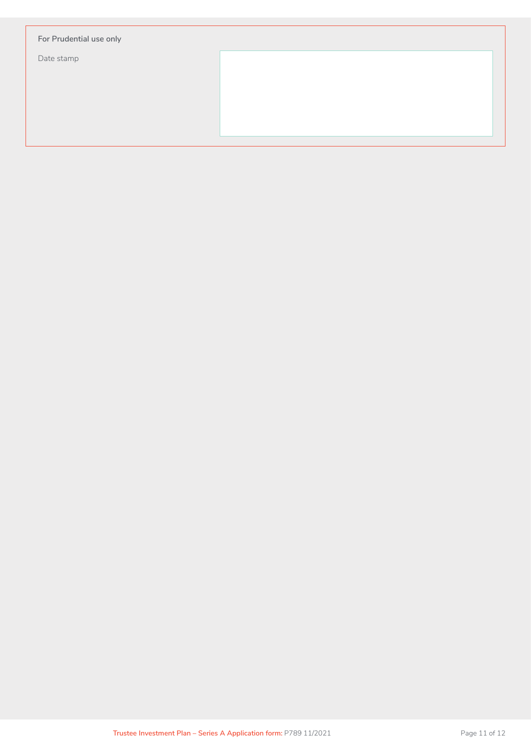| For Prudential use only |  |  |
|-------------------------|--|--|
| Date stamp              |  |  |
|                         |  |  |
|                         |  |  |
|                         |  |  |